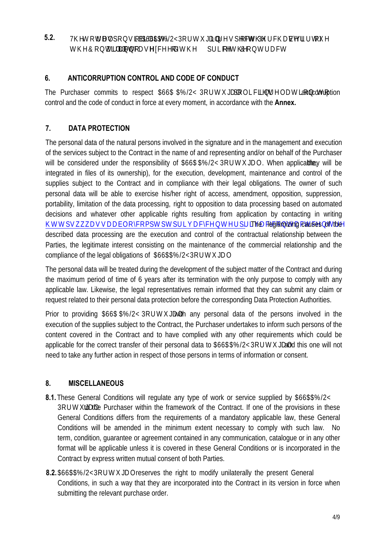7KH WRWUDORDZELOLWRI \$6\$%/23RUWDO LQUBJEW RIWKI 3XUFKOM EXLUWYRI WKWOUDFW ZLOOR FDM HFG RIWK SULFRIWKHR QUUDFW **5.2.**

### **6. ANTICORRUPTION CONTROL AND CODE OF CONDUCT**

The Purchaser commits to respect  $66\%2\&\text{RUWMO}$  SROLFLWQ UODWLRQ MRICOrruption control and the code of conduct in force at every moment, in accordance with the **Annex.** 

# **7. DATA PROTECTION**

The personal data of the natural persons involved in the signature and in the management and execution of the services subject to the Contract in the name of and representing and/or on behalf of the Purchaser will be considered under the responsibility of  $66\% / 23$ RUW $20$ . When applicable, they will be [integrated in files of its ownership\), for the execution,](https://www.tesa.es/en/site/tesa/site-functions/privacy-centre/privacy-contact-centre/) development, maintenance and control of the supplies subject to the Contract and in compliance with their legal obligations. The owner of such personal data will be able to exercise his/her right of access, amendment, opposition, suppression, portability, limitation of the data processing, right to opposition to data processing based on automated decisions and whatever other applicable rights resulting from application by contacting in writing KWWSVZZDVDEORKRPSWSWSULYDFKWHSULYDFKRWDFWFWUH The legitimizing causes of the described data processing are the execution and control of the contractual relationship between the Parties, the legitimate interest consisting on the maintenance of the commercial relationship and the compliance of the legal obligations of \$6%/23RUWXO

The personal data will be treated during the development of the subject matter of the Contract and during the maximum period of time of 6 years after its termination with the only purpose to comply with any applicable law. Likewise, the legal representatives remain informed that they can submit any claim or request related to their personal data protection before the corresponding Data Protection Authorities.

Prior to providing  $$6\%/2\&RUW\&O$  with any personal data of the persons involved in the execution of the supplies subject to the Contract, the Purchaser undertakes to inform such persons of the content covered in the Contract and to have complied with any other requirements which could be applicable for the correct transfer of their personal data to  $66\%/23RUW\&O$  and this one will not need to take any further action in respect of those persons in terms of information or consent.

# **8. MISCELLANEOUS**

**8.1.** These General Conditions will regulate any type of work or service supplied by \$6\$/2<

to the Purchaser within the framework of the Contract. If one of the provisions in these General Conditions differs from the requirements of a mandatory applicable law, these General Conditions will be amended in the minimum extent necessary to comply with such law. No term, condition, guarantee or agreement contained in any communication, catalogue or in any other format will be applicable unless it is covered in these General Conditions or is incorporated in the Contract by express written mutual consent of both Parties.

**8.2. 8.2. 8.2. 3.2. 3.2. 3.3 3.3 3.3 3.3 3.3 3.3 3.3 3.3 3.3 3.3 3.3 3.3 3.3 3.4 3.4 3.4 3.4 3.4 3.4 3.4 3.4 3.4 3.4 3.4 3.4 3.4 3.4 3.4 3.4 3.4 3.4** Conditions, in such a way that they are incorporated into the Contract in its version in force when submitting the relevant purchase order.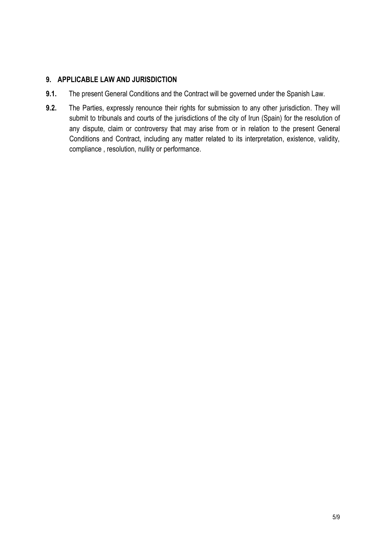#### **9. APPLICABLE LAW AND JURISDICTION**

- **9.1.** The present General Conditions and the Contract will be governed under the Spanish Law.
- **9.2.** The Parties, expressly renounce their rights for submission to any other jurisdiction. They will submit to tribunals and courts of the jurisdictions of the city of Irun (Spain) for the resolution of any dispute, claim or controversy that may arise from or in relation to the present General Conditions and Contract, including any matter related to its interpretation, existence, validity, compliance , resolution, nullity or performance.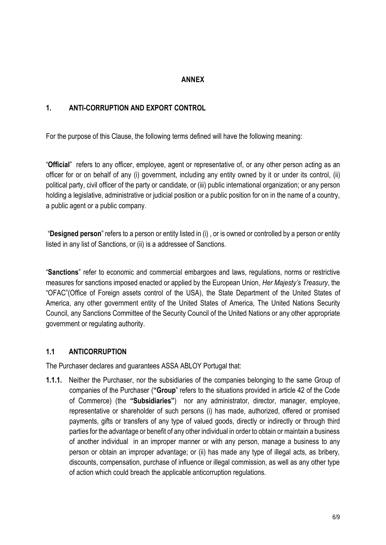### **ANNEX**

#### **1. ANTI-CORRUPTION AND EXPORT CONTROL**

For the purpose of this Clause, the following terms defined will have the following meaning:

"**Official**" refers to any officer, employee, agent or representative of, or any other person acting as an officer for or on behalf of any (i) government, including any entity owned by it or under its control, (ii) political party, civil officer of the party or candidate, or (iii) public international organization; or any person holding a legislative, administrative or judicial position or a public position for on in the name of a country, a public agent or a public company.

"**Designed person**" refers to a person or entity listed in (i) , or is owned or controlled by a person or entity listed in any list of Sanctions, or (ii) is a addressee of Sanctions.

"**Sanctions**" refer to economic and commercial embargoes and laws, regulations, norms or restrictive measures for sanctions imposed enacted or applied by the European Union, *Her Majesty's Treasury*, the "OFAC"(Office of Foreign assets control of the USA), the State Department of the United States of America, any other government entity of the United States of America, The United Nations Security Council, any Sanctions Committee of the Security Council of the United Nations or any other appropriate government or regulating authority.

### **1.1 ANTICORRUPTION**

The Purchaser declares and guarantees ASSA ABLOY Portugal that:

**1.1.1.** Neither the Purchaser, nor the subsidiaries of the companies belonging to the same Group of companies of the Purchaser (**"Group**" refers to the situations provided in article 42 of the Code of Commerce) (the **"Subsidiaries"**) nor any administrator, director, manager, employee, representative or shareholder of such persons (i) has made, authorized, offered or promised payments, gifts or transfers of any type of valued goods, directly or indirectly or through third parties for the advantage or benefit of any other individual in order to obtain or maintain a business of another individual in an improper manner or with any person, manage a business to any person or obtain an improper advantage; or (ii) has made any type of illegal acts, as bribery, discounts, compensation, purchase of influence or illegal commission, as well as any other type of action which could breach the applicable anticorruption regulations.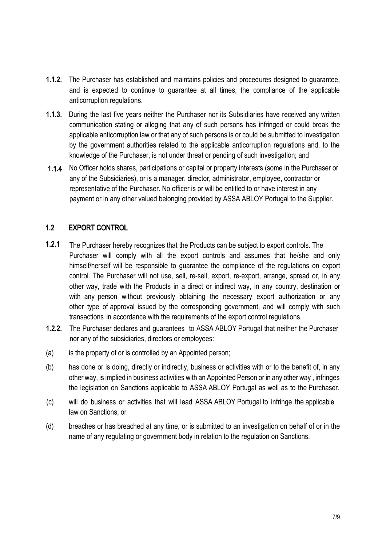- **1.1.2.** The Purchaser has established and maintains policies and procedures designed to guarantee, and is expected to continue to guarantee at all times, the compliance of the applicable anticorruption regulations.
- **1.1.3.** During the last five years neither the Purchaser nor its Subsidiaries have received any written communication stating or alleging that any of such persons has infringed or could break the applicable anticorruption law or that any of such persons is or could be submitted to investigation by the government authorities related to the applicable anticorruption regulations and, to the knowledge of the Purchaser, is not under threat or pending of such investigation; and
- No Officer holds shares, participations or capital or property interests (some in the Purchaser or **1.**1**.**4 any of the Subsidiaries), or is a manager, director, administrator, employee, contractor or representative of the Purchaser. No officer is or will be entitled to or have interest in any payment or in any other valued belonging provided by ASSA ABLOY Portugal to the Supplier.

# 1.2 EXPORT CONTROL

- The Purchaser hereby recognizes that the Products can be subject to export controls. The Purchaser will comply with all the export controls and assumes that he/she and only himself/herself will be responsible to guarantee the compliance of the regulations on export control. The Purchaser will not use, sell, re-sell, export, re-export, arrange, spread or, in any other way, trade with the Products in a direct or indirect way, in any country, destination or with any person without previously obtaining the necessary export authorization or any other type of approval issued by the corresponding government, and will comply with such transactions in accordance with the requirements of the export control regulations. **1.2.**1
- **1.2.2.** The Purchaser declares and guarantees to ASSA ABLOY Portugal that neither the Purchaser nor any of the subsidiaries, directors or employees:
- (a) is the property of or is controlled by an Appointed person;
- (b) has done or is doing, directly or indirectly, business or activities with or to the benefit of, in any other way, is implied in business activities with an Appointed Person or in any other way , infringes the legislation on Sanctions applicable to ASSA ABLOY Portugal as well as to the Purchaser.
- (c) will do business or activities that will lead ASSA ABLOY Portugal to infringe the applicable law on Sanctions; or
- (d) breaches or has breached at any time, or is submitted to an investigation on behalf of or in the name of any regulating or government body in relation to the regulation on Sanctions.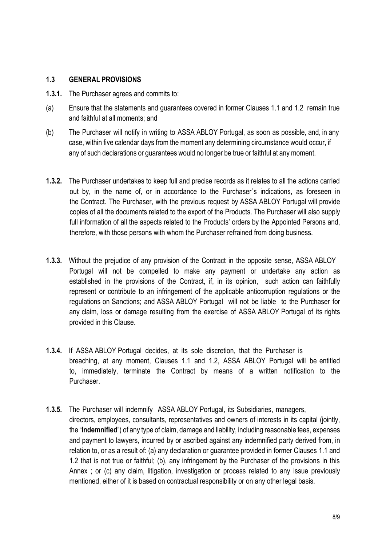#### **1.3 GENERAL PROVISIONS**

- **1.3.1.** The Purchaser agrees and commits to:
- (a) Ensure that the statements and guarantees covered in former Clauses 1.1 and 1.2 remain true and faithful at all moments; and
- (b) The Purchaser will notify in writing to ASSA ABLOY Portugal, as soon as possible, and, in any case, within five calendar days from the moment any determining circumstance would occur, if any of such declarations or guarantees would no longer be true or faithful at any moment.
- **1.3.2.** The Purchaser undertakes to keep full and precise records as it relates to all the actions carried out by, in the name of, or in accordance to the Purchaser`s indications, as foreseen in the Contract. The Purchaser, with the previous request by ASSA ABLOY Portugal will provide copies of all the documents related to the export of the Products. The Purchaser will also supply full information of all the aspects related to the Products' orders by the Appointed Persons and, therefore, with those persons with whom the Purchaser refrained from doing business.
- **1.3.3.** Without the prejudice of any provision of the Contract in the opposite sense, ASSA ABLOY Portugal will not be compelled to make any payment or undertake any action as established in the provisions of the Contract, if, in its opinion, such action can faithfully represent or contribute to an infringement of the applicable anticorruption regulations or the regulations on Sanctions; and ASSA ABLOY Portugal will not be liable to the Purchaser for any claim, loss or damage resulting from the exercise of ASSA ABLOY Portugal of its rights provided in this Clause.
- **1.3.4.** If ASSA ABLOY Portugal decides, at its sole discretion, that the Purchaser is breaching, at any moment, Clauses 1.1 and 1.2, ASSA ABLOY Portugal will be entitled to, immediately, terminate the Contract by means of a written notification to the **Purchaser**
- **1.3.5.** The Purchaser will indemnify ASSA ABLOY Portugal, its Subsidiaries, managers, directors, employees, consultants, representatives and owners of interests in its capital (jointly, the "**Indemnified**") of any type of claim, damage and liability, including reasonable fees, expenses and payment to lawyers, incurred by or ascribed against any indemnified party derived from, in relation to, or as a result of: (a) any declaration or guarantee provided in former Clauses 1.1 and 1.2 that is not true or faithful; (b), any infringement by the Purchaser of the provisions in this Annex ; or (c) any claim, litigation, investigation or process related to any issue previously mentioned, either of it is based on contractual responsibility or on any other legal basis.